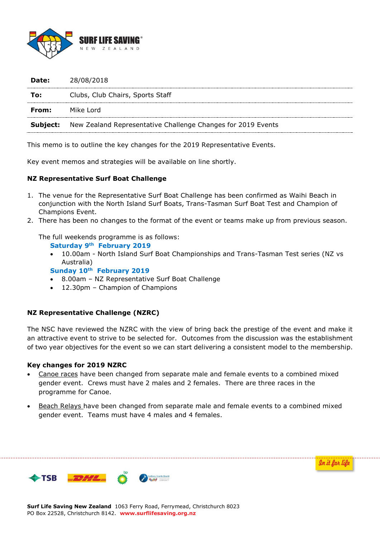

| 28/08/2018                                                                   |
|------------------------------------------------------------------------------|
| Clubs, Club Chairs, Sports Staff                                             |
|                                                                              |
| <b>Subject:</b> New Zealand Representative Challenge Changes for 2019 Events |
|                                                                              |

This memo is to outline the key changes for the 2019 Representative Events.

Key event memos and strategies will be available on line shortly.

### **NZ Representative Surf Boat Challenge**

- 1. The venue for the Representative Surf Boat Challenge has been confirmed as Waihi Beach in conjunction with the North Island Surf Boats, Trans-Tasman Surf Boat Test and Champion of Champions Event.
- 2. There has been no changes to the format of the event or teams make up from previous season.

The full weekends programme is as follows:

**Saturday 9th February 2019**

- 10.00am North Island Surf Boat Championships and Trans-Tasman Test series (NZ vs Australia)
- **Sunday 10th February 2019**
- 8.00am NZ Representative Surf Boat Challenge
- 12.30pm Champion of Champions

### **NZ Representative Challenge (NZRC)**

The NSC have reviewed the NZRC with the view of bring back the prestige of the event and make it an attractive event to strive to be selected for. Outcomes from the discussion was the establishment of two year objectives for the event so we can start delivering a consistent model to the membership.

### **Key changes for 2019 NZRC**

- Canoe races have been changed from separate male and female events to a combined mixed gender event. Crews must have 2 males and 2 females. There are three races in the programme for Canoe.
- Beach Relays have been changed from separate male and female events to a combined mixed gender event. Teams must have 4 males and 4 females.

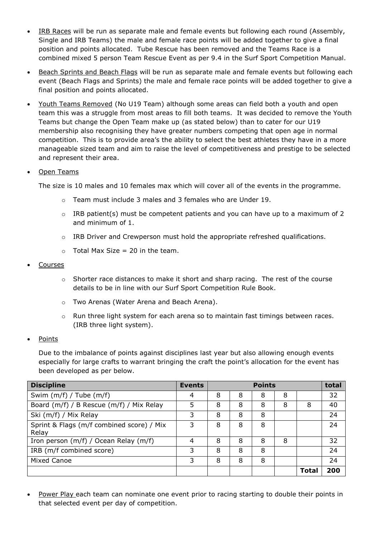- IRB Races will be run as separate male and female events but following each round (Assembly, Single and IRB Teams) the male and female race points will be added together to give a final position and points allocated. Tube Rescue has been removed and the Teams Race is a combined mixed 5 person Team Rescue Event as per 9.4 in the Surf Sport Competition Manual.
- Beach Sprints and Beach Flags will be run as separate male and female events but following each event (Beach Flags and Sprints) the male and female race points will be added together to give a final position and points allocated.
- Youth Teams Removed (No U19 Team) although some areas can field both a youth and open team this was a struggle from most areas to fill both teams. It was decided to remove the Youth Teams but change the Open Team make up (as stated below) than to cater for our U19 membership also recognising they have greater numbers competing that open age in normal competition. This is to provide area's the ability to select the best athletes they have in a more manageable sized team and aim to raise the level of competitiveness and prestige to be selected and represent their area.

# Open Teams

The size is 10 males and 10 females max which will cover all of the events in the programme.

- o Team must include 3 males and 3 females who are Under 19.
- $\circ$  IRB patient(s) must be competent patients and you can have up to a maximum of 2 and minimum of 1.
- $\circ$  IRB Driver and Crewperson must hold the appropriate refreshed qualifications.
- $\circ$  Total Max Size = 20 in the team.

## Courses

- $\circ$  Shorter race distances to make it short and sharp racing. The rest of the course details to be in line with our Surf Sport Competition Rule Book.
- o Two Arenas (Water Arena and Beach Arena).
- $\circ$  Run three light system for each arena so to maintain fast timings between races. (IRB three light system).

## Points

Due to the imbalance of points against disciplines last year but also allowing enough events especially for large crafts to warrant bringing the craft the point's allocation for the event has been developed as per below.

| <b>Discipline</b>                         | <b>Events</b> | <b>Points</b> |   |   |   |      | total |
|-------------------------------------------|---------------|---------------|---|---|---|------|-------|
| Swim $(m/f)$ / Tube $(m/f)$               | 4             | 8             | 8 | 8 | 8 |      | 32    |
| Board (m/f) / B Rescue (m/f) / Mix Relay  | 5             | 8             | 8 | 8 | 8 | 8    | 40    |
| Ski (m/f) / Mix Relay                     | 3             | 8             | 8 | 8 |   |      | 24    |
| Sprint & Flags (m/f combined score) / Mix | 3             | 8             | 8 | 8 |   |      | 24    |
| Relay                                     |               |               |   |   |   |      |       |
| Iron person (m/f) / Ocean Relay (m/f)     | 4             | 8             | 8 | 8 | 8 |      | 32    |
| IRB (m/f combined score)                  | 3             | 8             | 8 | 8 |   |      | 24    |
| <b>Mixed Canoe</b>                        | 3             | 8             | 8 | 8 |   |      | 24    |
|                                           |               |               |   |   |   | Tota | 200   |

 Power Play each team can nominate one event prior to racing starting to double their points in that selected event per day of competition.